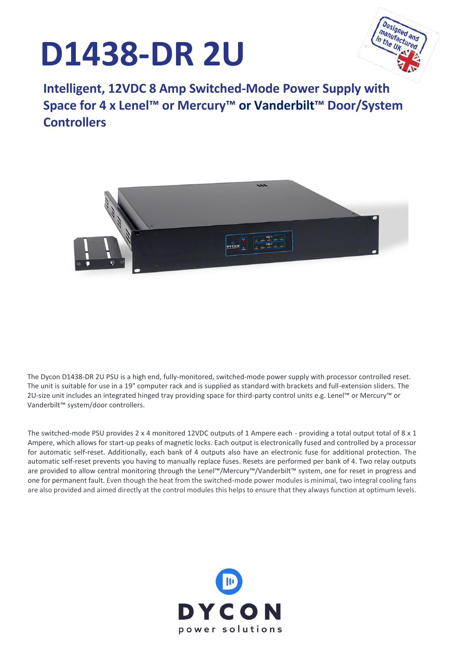# **D1438-DR 2U**



**Intelligent, 12VDC 8 Amp Switched-Mode Power Supply with Space for 4 x Lenel™ or Mercury™ or Vanderbilt™ Door/System Controllers**



The Dycon D1438-DR 2U PSU is a high end, fully-monitored, switched-mode power supply with processor controlled reset. The unit is suitable for use in a 19" computer rack and is supplied as standard with brackets and full-extension sliders. The 2U-size unit includes an integrated hinged tray providing space for third-party control units e.g. Lenel™ or Mercury™ or Vanderbilt™ system/door controllers.

The switched-mode PSU provides 2 x 4 monitored 12VDC outputs of 1 Ampere each - providing a total output total of 8 x 1 Ampere, which allows for start-up peaks of magnetic locks. Each output is electronically fused and controlled by a processor for automatic self-reset. Additionally, each bank of 4 outputs also have an electronic fuse for additional protection. The automatic self-reset prevents you having to manually replace fuses. Resets are performed per bank of 4. Two relay outputs are provided to allow central monitoring through the Lenel™/Mercury™/Vanderbilt™ system, one for reset in progress and one for permanent fault. Even though the heat from the switched-mode power modules is minimal, two integral cooling fans are also provided and aimed directly at the control modules this helps to ensure that they always function at optimum levels.